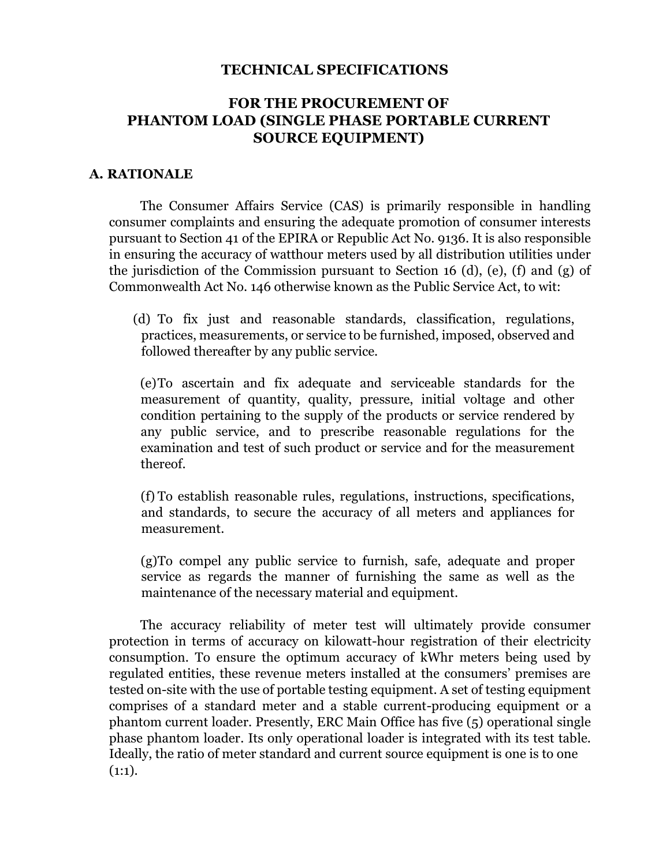### **TECHNICAL SPECIFICATIONS**

# **FOR THE PROCUREMENT OF PHANTOM LOAD (SINGLE PHASE PORTABLE CURRENT SOURCE EQUIPMENT)**

#### **A. RATIONALE**

The Consumer Affairs Service (CAS) is primarily responsible in handling consumer complaints and ensuring the adequate promotion of consumer interests pursuant to Section 41 of the EPIRA or Republic Act No. 9136. It is also responsible in ensuring the accuracy of watthour meters used by all distribution utilities under the jurisdiction of the Commission pursuant to Section 16 (d), (e), (f) and (g) of Commonwealth Act No. 146 otherwise known as the Public Service Act, to wit:

(d) To fix just and reasonable standards, classification, regulations, practices, measurements, or service to be furnished, imposed, observed and followed thereafter by any public service.

(e)To ascertain and fix adequate and serviceable standards for the measurement of quantity, quality, pressure, initial voltage and other condition pertaining to the supply of the products or service rendered by any public service, and to prescribe reasonable regulations for the examination and test of such product or service and for the measurement thereof.

(f) To establish reasonable rules, regulations, instructions, specifications, and standards, to secure the accuracy of all meters and appliances for measurement.

(g)To compel any public service to furnish, safe, adequate and proper service as regards the manner of furnishing the same as well as the maintenance of the necessary material and equipment.

The accuracy reliability of meter test will ultimately provide consumer protection in terms of accuracy on kilowatt-hour registration of their electricity consumption. To ensure the optimum accuracy of kWhr meters being used by regulated entities, these revenue meters installed at the consumers' premises are tested on-site with the use of portable testing equipment. A set of testing equipment comprises of a standard meter and a stable current-producing equipment or a phantom current loader. Presently, ERC Main Office has five (5) operational single phase phantom loader. Its only operational loader is integrated with its test table. Ideally, the ratio of meter standard and current source equipment is one is to one  $(1:1).$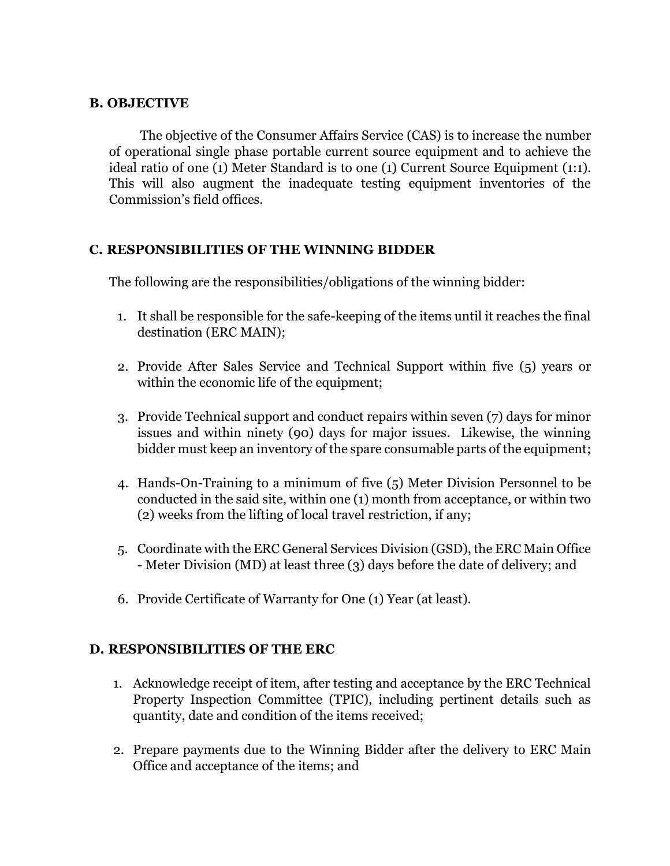## **B. OBJECTIVE**

The objective of the Consumer Affairs Service (CAS) is to increase the number of operational single phase portable current source equipment and to achieve the ideal ratio of one (1) Meter Standard is to one (1) Current Source Equipment (1:1). This will also augment the inadequate testing equipment inventories of the Commission's field offices.

# **C. RESPONSIBILITIES OF THE WINNING BIDDER**

The following are the responsibilities/obligations of the winning bidder:

- 1. It shall be responsible for the safe-keeping of the items until it reaches the final destination (ERC MAIN);
- 2. Provide After Sales Service and Technical Support within five (5) years or within the economic life of the equipment;
- 3. Provide Technical support and conduct repairs within seven (7) days for minor issues and within ninety (90) days for major issues. Likewise, the winning bidder must keep an inventory of the spare consumable parts of the equipment;
- 4. Hands-On-Training to a minimum of five (5) Meter Division Personnel to be conducted in the said site, within one (1) month from acceptance, or within two (2) weeks from the lifting of local travel restriction, if any;
- 5. Coordinate with the ERC General Services Division (GSD), the ERC Main Office - Meter Division (MD) at least three (3) days before the date of delivery; and
- 6. Provide Certificate of Warranty for One (1) Year (at least).

# **D. RESPONSIBILITIES OF THE ERC**

- 1. Acknowledge receipt of item, after testing and acceptance by the ERC Technical Property Inspection Committee (TPIC), including pertinent details such as quantity, date and condition of the items received;
- 2. Prepare payments due to the Winning Bidder after the delivery to ERC Main Office and acceptance of the items; and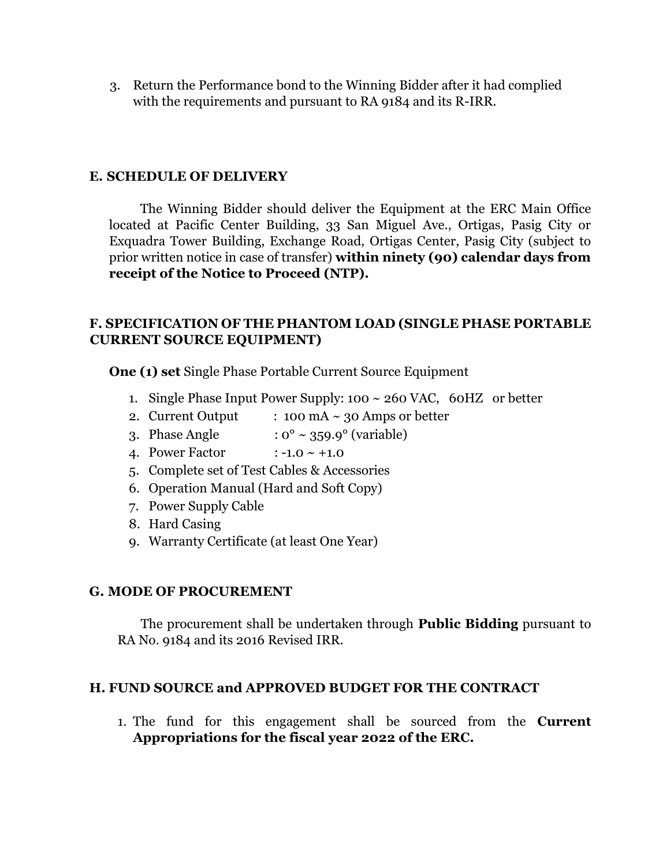3. Return the Performance bond to the Winning Bidder after it had complied with the requirements and pursuant to RA 9184 and its R-IRR.

### **E. SCHEDULE OF DELIVERY**

The Winning Bidder should deliver the Equipment at the ERC Main Office located at Pacific Center Building, 33 San Miguel Ave., Ortigas, Pasig City or Exquadra Tower Building, Exchange Road, Ortigas Center, Pasig City (subject to prior written notice in case of transfer) **within ninety (90) calendar days from receipt of the Notice to Proceed (NTP).** 

## **F. SPECIFICATION OF THE PHANTOM LOAD (SINGLE PHASE PORTABLE CURRENT SOURCE EQUIPMENT)**

**One (1) set** Single Phase Portable Current Source Equipment

- 1. Single Phase Input Power Supply: 100 ~ 260 VAC, 60HZ or better
- 2. Current Output :  $100 \text{ mA} \sim 30 \text{ Amps}$  or better
- 3. Phase Angle  $: 0^{\circ} \sim 359.9^{\circ}$  (variable)
- 4. Power Factor  $: -1.0 \sim +1.0$
- 5. Complete set of Test Cables & Accessories
- 6. Operation Manual (Hard and Soft Copy)
- 7. Power Supply Cable
- 8. Hard Casing
- 9. Warranty Certificate (at least One Year)

### **G. MODE OF PROCUREMENT**

The procurement shall be undertaken through **Public Bidding** pursuant to RA No. 9184 and its 2016 Revised IRR.

### **H. FUND SOURCE and APPROVED BUDGET FOR THE CONTRACT**

1. The fund for this engagement shall be sourced from the **Current Appropriations for the fiscal year 2022 of the ERC.**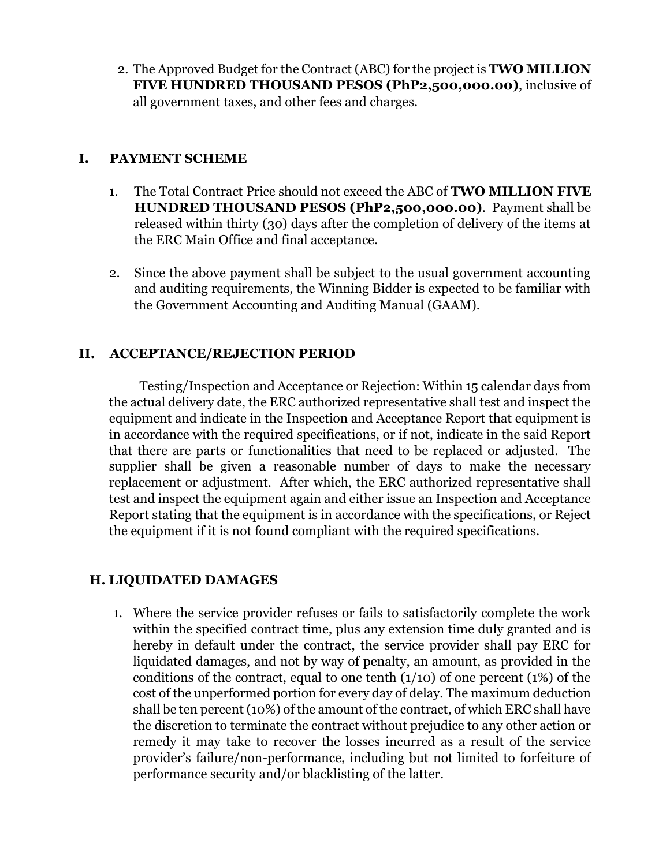2. The Approved Budget for the Contract (ABC) for the project is **TWO MILLION FIVE HUNDRED THOUSAND PESOS (PhP2,500,000.00)**, inclusive of all government taxes, and other fees and charges.

## **I. PAYMENT SCHEME**

- 1. The Total Contract Price should not exceed the ABC of **TWO MILLION FIVE HUNDRED THOUSAND PESOS (PhP2,500,000.00)**. Payment shall be released within thirty (30) days after the completion of delivery of the items at the ERC Main Office and final acceptance.
- 2. Since the above payment shall be subject to the usual government accounting and auditing requirements, the Winning Bidder is expected to be familiar with the Government Accounting and Auditing Manual (GAAM).

# **II. ACCEPTANCE/REJECTION PERIOD**

Testing/Inspection and Acceptance or Rejection: Within 15 calendar days from the actual delivery date, the ERC authorized representative shall test and inspect the equipment and indicate in the Inspection and Acceptance Report that equipment is in accordance with the required specifications, or if not, indicate in the said Report that there are parts or functionalities that need to be replaced or adjusted. The supplier shall be given a reasonable number of days to make the necessary replacement or adjustment. After which, the ERC authorized representative shall test and inspect the equipment again and either issue an Inspection and Acceptance Report stating that the equipment is in accordance with the specifications, or Reject the equipment if it is not found compliant with the required specifications.

# **H. LIQUIDATED DAMAGES**

1. Where the service provider refuses or fails to satisfactorily complete the work within the specified contract time, plus any extension time duly granted and is hereby in default under the contract, the service provider shall pay ERC for liquidated damages, and not by way of penalty, an amount, as provided in the conditions of the contract, equal to one tenth  $(1/10)$  of one percent  $(1%)$  of the cost of the unperformed portion for every day of delay. The maximum deduction shall be ten percent (10%) of the amount of the contract, of which ERC shall have the discretion to terminate the contract without prejudice to any other action or remedy it may take to recover the losses incurred as a result of the service provider's failure/non-performance, including but not limited to forfeiture of performance security and/or blacklisting of the latter.